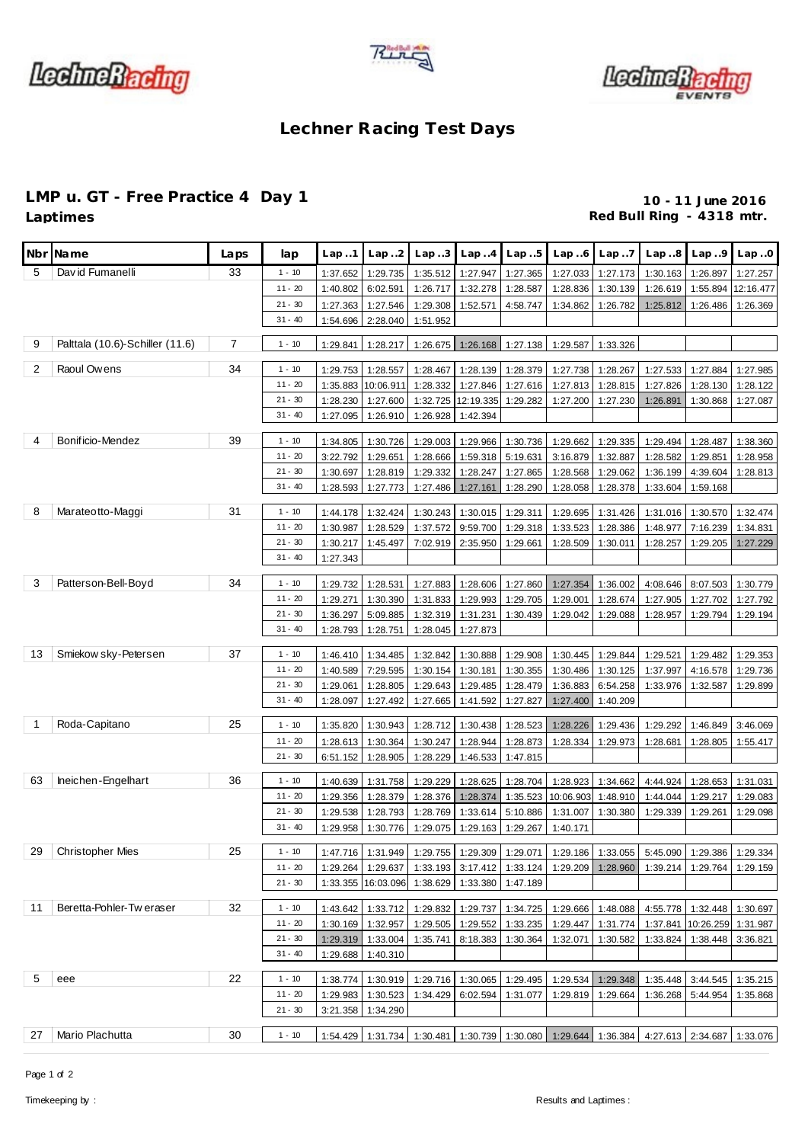





## **Lechner Racing Test Days**

## **LMP u. GT - Free Practice 4 Day 1 10 - 11 June 2016**<br>Laptimes **10 - 11 June 2016**

Red Bull Ring - 4318 mtr.

| Nbr            | Name                            | Laps           | lap                    | Lap.1    | Lap.2              | Lap.3    | Lap.4                      | Lap.5                      | Lap.6                | Lap.7                | Lap.8                                                                                     | Lap.9               | Lap.0                |
|----------------|---------------------------------|----------------|------------------------|----------|--------------------|----------|----------------------------|----------------------------|----------------------|----------------------|-------------------------------------------------------------------------------------------|---------------------|----------------------|
| 5              | David Fumanelli                 | 33             | $1 - 10$               | 1:37.652 | 1:29.735           | 1:35.512 | 1:27.947                   | 1:27.365                   | 1:27.033             | 1:27.173             | 1:30.163                                                                                  | 1:26.897            | 1:27.257             |
|                |                                 |                | $11 - 20$              | 1:40.802 | 6:02.591           | 1:26.717 | 1:32.278                   | 1:28.587                   | 1:28.836             | 1:30.139             | 1:26.619                                                                                  | 1:55.894            | 12:16.477            |
|                |                                 |                | $21 - 30$              | 1:27.363 | 1:27.546           | 1:29.308 | 1:52.571                   | 4:58.747                   | 1:34.862             | 1:26.782             | 1:25.812                                                                                  | 1:26.486            | 1:26.369             |
|                |                                 |                | $31 - 40$              | 1:54.696 | 2:28.040           | 1:51.952 |                            |                            |                      |                      |                                                                                           |                     |                      |
| 9              | Palttala (10.6)-Schiller (11.6) | $\overline{7}$ | $1 - 10$               | 1:29.841 | 1:28.217           | 1:26.675 | 1:26.168                   | 1:27.138                   | 1:29.587             | 1:33.326             |                                                                                           |                     |                      |
|                |                                 |                |                        |          |                    |          |                            |                            |                      |                      |                                                                                           |                     |                      |
| 2              | Raoul Owens                     | 34             | $1 - 10$               | 1:29.753 | 1:28.557           | 1:28.467 | 1:28.139                   | 1:28.379                   | 1:27.738             | 1:28.267             | 1:27.533                                                                                  | 1:27.884            | 1:27.985             |
|                |                                 |                | $11 - 20$              | 1:35.883 | 10:06.911          | 1:28.332 | 1:27.846                   | 1:27.616                   | 1:27.813             | 1:28.815             | 1:27.826                                                                                  | 1:28.130            | 1:28.122             |
|                |                                 |                | $21 - 30$<br>$31 - 40$ | 1:28.230 | 1:27.600           | 1:32.725 | 12:19.335                  | 1:29.282                   | 1:27.200             | 1:27.230             | 1:26.891                                                                                  | 1:30.868            | 1:27.087             |
|                |                                 |                |                        | 1:27.095 | 1:26.910           | 1:26.928 | 1:42.394                   |                            |                      |                      |                                                                                           |                     |                      |
| $\overline{4}$ | Bonificio-Mendez                | 39             | $1 - 10$               | 1:34.805 | 1:30.726           | 1:29.003 | 1:29.966                   | 1:30.736                   | 1:29.662             | 1:29.335             | 1:29.494                                                                                  | 1:28.487            | 1:38.360             |
|                |                                 |                | $11 - 20$              | 3:22.792 | 1:29.651           | 1:28.666 | 1:59.318                   | 5:19.631                   | 3:16.879             | 1:32.887             | 1:28.582                                                                                  | 1:29.851            | 1:28.958             |
|                |                                 |                | $21 - 30$              | 1:30.697 | 1:28.819           | 1:29.332 | 1:28.247                   | 1:27.865                   | 1:28.568             | 1:29.062             | 1:36.199                                                                                  | 4:39.604            | 1:28.813             |
|                |                                 |                | $31 - 40$              | 1:28.593 | 1:27.773           | 1:27.486 | 1:27.161                   | 1:28.290                   | 1:28.058             | 1:28.378             | 1:33.604                                                                                  | 1:59.168            |                      |
| 8              | Marateotto-Maggi                | 31             | $1 - 10$               | 1:44.178 | 1:32.424           | 1:30.243 | 1:30.015                   | 1:29.311                   | 1:29.695             | 1:31.426             | 1:31.016                                                                                  | 1:30.570            | 1:32.474             |
|                |                                 |                | $11 - 20$              | 1:30.987 | 1:28.529           | 1:37.572 | 9:59.700                   | 1:29.318                   | 1:33.523             | 1:28.386             | 1:48.977                                                                                  | 7:16.239            | 1:34.831             |
|                |                                 |                | $21 - 30$              | 1:30.217 | 1:45.497           | 7:02.919 | 2:35.950                   | 1:29.661                   | 1:28.509             | 1:30.011             | 1:28.257                                                                                  | 1:29.205            | 1:27.229             |
|                |                                 |                | $31 - 40$              | 1:27.343 |                    |          |                            |                            |                      |                      |                                                                                           |                     |                      |
|                |                                 |                |                        |          |                    |          |                            |                            |                      |                      |                                                                                           |                     |                      |
| 3              | Patterson-Bell-Boyd             | 34             | $1 - 10$               | 1:29.732 | 1:28.531           | 1:27.883 | 1:28.606                   | 1:27.860                   | 1:27.354             | 1:36.002             | 4:08.646                                                                                  | 8:07.503            | 1:30.779             |
|                |                                 |                | $11 - 20$              | 1:29.271 | 1:30.390           | 1:31.833 | 1:29.993                   | 1:29.705                   | 1:29.001             | 1:28.674             | 1:27.905                                                                                  | 1:27.702            | 1:27.792             |
|                |                                 |                | $21 - 30$              | 1:36.297 | 5:09.885           | 1:32.319 | 1:31.231                   | 1:30.439                   | 1:29.042             | 1:29.088             | 1:28.957                                                                                  | 1:29.794            | 1:29.194             |
|                |                                 |                | $31 - 40$              | 1:28.793 | 1:28.751           | 1:28.045 | 1:27.873                   |                            |                      |                      |                                                                                           |                     |                      |
| 13             | Smiekow sky-Petersen            | 37             | $1 - 10$               | 1:46.410 | 1:34.485           | 1:32.842 | 1:30.888                   | 1:29.908                   | 1:30.445             | 1:29.844             | 1:29.521                                                                                  | 1:29.482            | 1:29.353             |
|                |                                 |                | $11 - 20$              | 1:40.589 | 7:29.595           | 1:30.154 | 1:30.181                   | 1:30.355                   | 1:30.486             | 1:30.125             | 1:37.997                                                                                  | 4:16.578            | 1:29.736             |
|                |                                 |                | $21 - 30$              | 1:29.061 | 1:28.805           | 1:29.643 | 1:29.485                   | 1:28.479                   | 1:36.883             | 6:54.258             | 1:33.976                                                                                  | 1:32.587            | 1:29.899             |
|                |                                 |                | $31 - 40$              | 1:28.097 | 1:27.492           | 1:27.665 | 1:41.592                   | 1:27.827                   | 1:27.400             | 1:40.209             |                                                                                           |                     |                      |
| -1             | Roda-Capitano                   | 25             | $1 - 10$               | 1:35.820 | 1:30.943           | 1:28.712 | 1:30.438                   | 1:28.523                   | 1:28.226             | 1:29.436             | 1:29.292                                                                                  | 1:46.849            | 3:46.069             |
|                |                                 |                | $11 - 20$              | 1:28.613 | 1:30.364           | 1:30.247 | 1:28.944                   | 1:28.873                   | 1:28.334             | 1:29.973             | 1:28.681                                                                                  | 1:28.805            | 1:55.417             |
|                |                                 |                | $21 - 30$              | 6:51.152 | 1:28.905           | 1:28.229 | 1:46.533                   | 1:47.815                   |                      |                      |                                                                                           |                     |                      |
|                |                                 |                |                        |          |                    |          |                            |                            |                      |                      |                                                                                           |                     |                      |
| 63             | Ineichen-Engelhart              | 36             | $1 - 10$               | 1:40.639 | 1:31.758           | 1:29.229 | 1:28.625                   | 1:28.704                   | 1:28.923             | 1:34.662             | 4:44.924                                                                                  | 1:28.653            | 1:31.031             |
|                |                                 |                | $11 - 20$              | 1:29.356 | 1:28.379           | 1:28.376 | 1:28.374                   | 1:35.523                   | 10:06.903            | 1:48.910             | 1:44.044                                                                                  | 1:29.217            | 1:29.083             |
|                |                                 |                | $21 - 30$              | 1:29.538 | 1:28.793           | 1:28.769 | 1:33.614                   | 5:10.886                   | 1:31.007             | 1:30.380             | 1:29.339                                                                                  | 1:29.261            | 1:29.098             |
|                |                                 |                | $31 - 40$              | 1:29.958 | 1:30.776           | 1:29.075 | 1:29.163                   | 1:29.267                   | 1:40.171             |                      |                                                                                           |                     |                      |
| 29             | <b>Christopher Mies</b>         | 25             | $1 - 10$               |          |                    |          |                            |                            |                      |                      | 1:47.716 1:31.949 1:29.755 1:29.309 1:29.071 1:29.186 1:33.055 5:45.090 1:29.386 1:29.334 |                     |                      |
|                |                                 |                | $11 - 20$              |          | 1:29.264 1:29.637  |          | 1:33.193 3:17.412 1:33.124 |                            |                      | 1:29.209 1:28.960    | 1:39.214 1:29.764                                                                         |                     | 1:29.159             |
|                |                                 |                | $21 - 30$              |          | 1:33.355 16:03.096 | 1:38.629 | 1:33.380                   | 1:47.189                   |                      |                      |                                                                                           |                     |                      |
| 11             | Beretta-Pohler-Tw eraser        | 32             | $1 - 10$               | 1:43.642 | 1:33.712           | 1:29.832 | 1:29.737                   | 1:34.725                   |                      |                      |                                                                                           | 4:55.778 1:32.448   |                      |
|                |                                 |                | $11 - 20$              | 1:30.169 | 1:32.957           | 1:29.505 | 1:29.552                   | 1:33.235                   | 1:29.666<br>1:29.447 | 1:48.088<br>1:31.774 |                                                                                           | 1:37.841 10:26.259  | 1:30.697<br>1:31.987 |
|                |                                 |                | $21 - 30$              | 1:29.319 | 1:33.004           | 1:35.741 | 8:18.383                   | 1:30.364                   | 1:32.071             | 1:30.582             | 1:33.824                                                                                  | 1:38.448            | 3:36.821             |
|                |                                 |                | $31 - 40$              | 1:29.688 | 1:40.310           |          |                            |                            |                      |                      |                                                                                           |                     |                      |
|                |                                 |                |                        |          |                    |          |                            |                            |                      |                      |                                                                                           |                     |                      |
| 5              | eee                             | 22             | $1 - 10$               | 1:38.774 | 1:30.919           |          | 1:29.716 1:30.065          | 1:29.495                   | 1:29.534             | 1:29.348             |                                                                                           | $1:35.448$ 3:44.545 | 1:35.215             |
|                |                                 |                | $11 - 20$              |          | 1:29.983 1:30.523  |          | 1:34.429 6:02.594          | 1:31.077                   | 1:29.819             | 1:29.664             |                                                                                           | 1:36.268 5:44.954   | 1:35.868             |
|                |                                 |                | $21 - 30$              |          | 3:21.358 1:34.290  |          |                            |                            |                      |                      |                                                                                           |                     |                      |
| 27             | Mario Plachutta                 | 30             | $1 - 10$               |          | 1:54.429 1:31.734  |          |                            | 1:30.481 1:30.739 1:30.080 | 1:29.644             | 1:36.384             |                                                                                           | 4:27.613 2:34.687   | 1:33.076             |